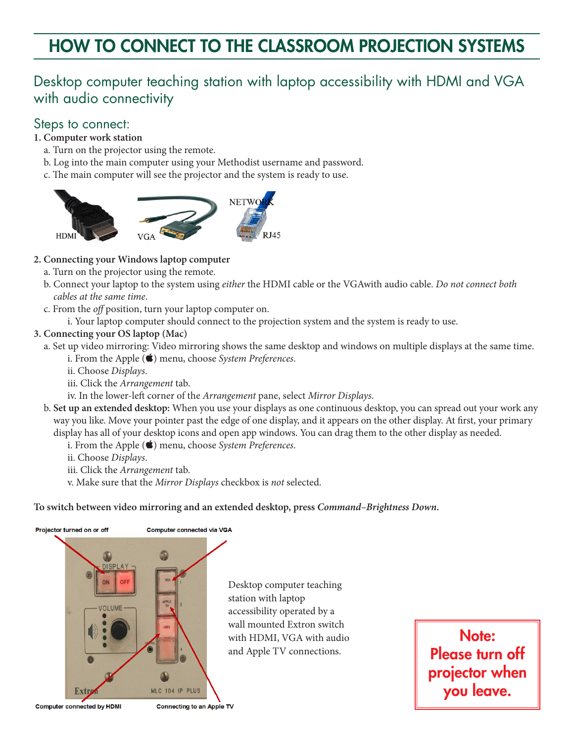# HOW TO CONNECT TO THE CLASSROOM PROJECTION SYSTEMS

# Desktop computer teaching station with laptop accessibility with HDMI and VGA with audio connectivity

### Steps to connect:

- **1. Computer work station**
	- a. Turn on the projector using the remote.
	- b. Log into the main computer using your Methodist username and password.
	- c. The main computer will see the projector and the system is ready to use.



#### **2. Connecting your Windows laptop computer**

- a. Turn on the projector using the remote.
- b. Connect your laptop to the system using *either* the HDMI cable or the VGAwith audio cable. *Do not connect both cables at the same time*.
- c. From the *off* position, turn your laptop computer on.
	- i. Your laptop computer should connect to the projection system and the system is ready to use.

#### **3. Connecting your OS laptop (Mac)**

- a. Set up video mirroring: Video mirroring shows the same desktop and windows on multiple displays at the same time. i. From the Apple ( $\bigstar$ ) menu, choose *System Preferences*.
	- ii. Choose *Displays*.
	- iii. Click the *Arrangement* tab.
	- iv. In the lower-left corner of the *Arrangement* pane, select *Mirror Displays*.
- b. **Set up an extended desktop:** When you use your displays as one continuous desktop, you can spread out your work any way you like. Move your pointer past the edge of one display, and it appears on the other display. At first, your primary display has all of your desktop icons and open app windows. You can drag them to the other display as needed.
	- i. From the Apple ( $\blacklozenge$ ) menu, choose *System Preferences*.
	- ii. Choose *Displays*.
	- iii. Click the *Arrangement* tab.
	- v. Make sure that the *Mirror Displays* checkbox is *not* selected.

#### **To switch between video mirroring and an extended desktop, press** *Command–Brightness Down***.**



Note: Please turn off projector when you leave.